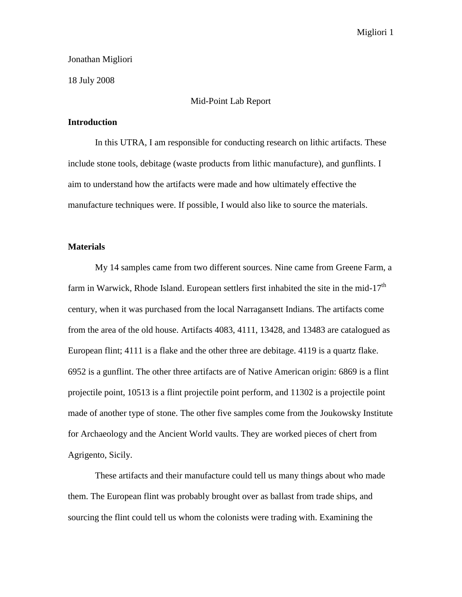### Jonathan Migliori

18 July 2008

# Mid-Point Lab Report

#### **Introduction**

In this UTRA, I am responsible for conducting research on lithic artifacts. These include stone tools, debitage (waste products from lithic manufacture), and gunflints. I aim to understand how the artifacts were made and how ultimately effective the manufacture techniques were. If possible, I would also like to source the materials.

# **Materials**

My 14 samples came from two different sources. Nine came from Greene Farm, a farm in Warwick, Rhode Island. European settlers first inhabited the site in the mid-17<sup>th</sup> century, when it was purchased from the local Narragansett Indians. The artifacts come from the area of the old house. Artifacts 4083, 4111, 13428, and 13483 are catalogued as European flint; 4111 is a flake and the other three are debitage. 4119 is a quartz flake. 6952 is a gunflint. The other three artifacts are of Native American origin: 6869 is a flint projectile point, 10513 is a flint projectile point perform, and 11302 is a projectile point made of another type of stone. The other five samples come from the Joukowsky Institute for Archaeology and the Ancient World vaults. They are worked pieces of chert from Agrigento, Sicily.

These artifacts and their manufacture could tell us many things about who made them. The European flint was probably brought over as ballast from trade ships, and sourcing the flint could tell us whom the colonists were trading with. Examining the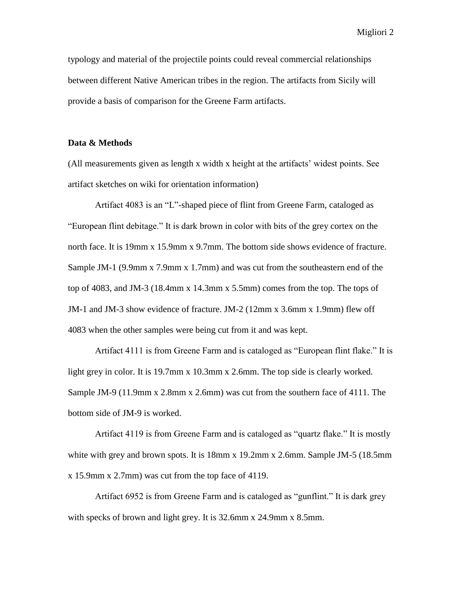Migliori 2

typology and material of the projectile points could reveal commercial relationships between different Native American tribes in the region. The artifacts from Sicily will provide a basis of comparison for the Greene Farm artifacts.

# **Data & Methods**

(All measurements given as length x width x height at the artifacts' widest points. See artifact sketches on wiki for orientation information)

Artifact 4083 is an "L"-shaped piece of flint from Greene Farm, cataloged as "European flint debitage." It is dark brown in color with bits of the grey cortex on the north face. It is 19mm x 15.9mm x 9.7mm. The bottom side shows evidence of fracture. Sample JM-1 (9.9mm x 7.9mm x 1.7mm) and was cut from the southeastern end of the top of 4083, and JM-3 (18.4mm x 14.3mm x 5.5mm) comes from the top. The tops of JM-1 and JM-3 show evidence of fracture. JM-2 (12mm x 3.6mm x 1.9mm) flew off 4083 when the other samples were being cut from it and was kept.

Artifact 4111 is from Greene Farm and is cataloged as "European flint flake." It is light grey in color. It is 19.7mm x 10.3mm x 2.6mm. The top side is clearly worked. Sample JM-9 (11.9mm x 2.8mm x 2.6mm) was cut from the southern face of 4111. The bottom side of JM-9 is worked.

Artifact 4119 is from Greene Farm and is cataloged as "quartz flake." It is mostly white with grey and brown spots. It is 18mm x 19.2mm x 2.6mm. Sample JM-5 (18.5mm) x 15.9mm x 2.7mm) was cut from the top face of 4119.

Artifact 6952 is from Greene Farm and is cataloged as "gunflint." It is dark grey with specks of brown and light grey. It is 32.6mm x 24.9mm x 8.5mm.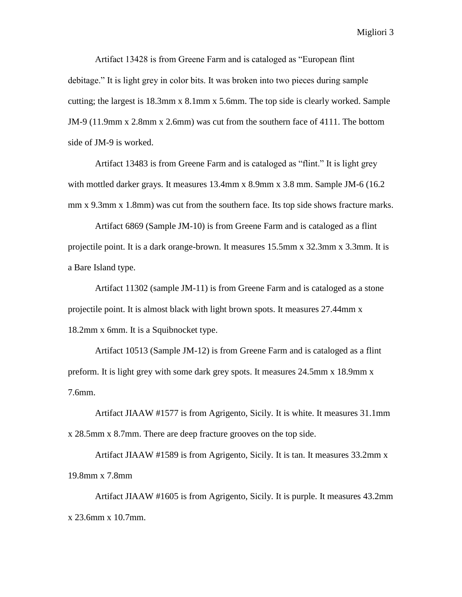Migliori 3

Artifact 13428 is from Greene Farm and is cataloged as "European flint debitage." It is light grey in color bits. It was broken into two pieces during sample cutting; the largest is 18.3mm x 8.1mm x 5.6mm. The top side is clearly worked. Sample JM-9 (11.9mm x 2.8mm x 2.6mm) was cut from the southern face of 4111. The bottom side of JM-9 is worked.

Artifact 13483 is from Greene Farm and is cataloged as "flint." It is light grey with mottled darker grays. It measures 13.4mm x 8.9mm x 3.8 mm. Sample JM-6 (16.2 mm x 9.3mm x 1.8mm) was cut from the southern face. Its top side shows fracture marks.

Artifact 6869 (Sample JM-10) is from Greene Farm and is cataloged as a flint projectile point. It is a dark orange-brown. It measures 15.5mm x 32.3mm x 3.3mm. It is a Bare Island type.

Artifact 11302 (sample JM-11) is from Greene Farm and is cataloged as a stone projectile point. It is almost black with light brown spots. It measures 27.44mm x 18.2mm x 6mm. It is a Squibnocket type.

Artifact 10513 (Sample JM-12) is from Greene Farm and is cataloged as a flint preform. It is light grey with some dark grey spots. It measures 24.5mm x 18.9mm x 7.6mm.

Artifact JIAAW #1577 is from Agrigento, Sicily. It is white. It measures 31.1mm x 28.5mm x 8.7mm. There are deep fracture grooves on the top side.

Artifact JIAAW #1589 is from Agrigento, Sicily. It is tan. It measures 33.2mm x 19.8mm x 7.8mm

Artifact JIAAW #1605 is from Agrigento, Sicily. It is purple. It measures 43.2mm x 23.6mm x 10.7mm.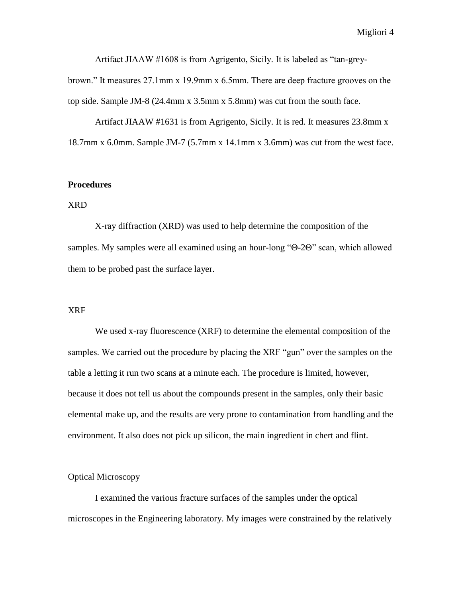Artifact JIAAW #1608 is from Agrigento, Sicily. It is labeled as "tan-grey-

brown." It measures 27.1mm x 19.9mm x 6.5mm. There are deep fracture grooves on the top side. Sample JM-8 (24.4mm x 3.5mm x 5.8mm) was cut from the south face.

Artifact JIAAW #1631 is from Agrigento, Sicily. It is red. It measures 23.8mm x 18.7mm x 6.0mm. Sample JM-7 (5.7mm x 14.1mm x 3.6mm) was cut from the west face.

#### **Procedures**

# XRD

X-ray diffraction (XRD) was used to help determine the composition of the samples. My samples were all examined using an hour-long " $\Theta$ -2 $\Theta$ " scan, which allowed them to be probed past the surface layer.

#### XRF

We used x-ray fluorescence (XRF) to determine the elemental composition of the samples. We carried out the procedure by placing the XRF "gun" over the samples on the table a letting it run two scans at a minute each. The procedure is limited, however, because it does not tell us about the compounds present in the samples, only their basic elemental make up, and the results are very prone to contamination from handling and the environment. It also does not pick up silicon, the main ingredient in chert and flint.

# Optical Microscopy

I examined the various fracture surfaces of the samples under the optical microscopes in the Engineering laboratory. My images were constrained by the relatively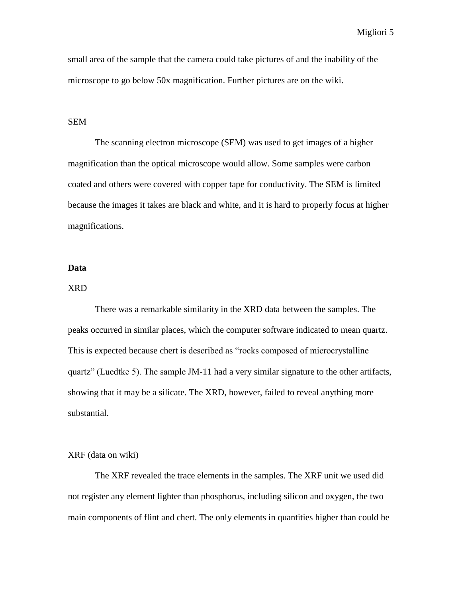Migliori 5

small area of the sample that the camera could take pictures of and the inability of the microscope to go below 50x magnification. Further pictures are on the wiki.

# SEM

The scanning electron microscope (SEM) was used to get images of a higher magnification than the optical microscope would allow. Some samples were carbon coated and others were covered with copper tape for conductivity. The SEM is limited because the images it takes are black and white, and it is hard to properly focus at higher magnifications.

#### **Data**

# XRD

There was a remarkable similarity in the XRD data between the samples. The peaks occurred in similar places, which the computer software indicated to mean quartz. This is expected because chert is described as "rocks composed of microcrystalline quartz" (Luedtke 5). The sample JM-11 had a very similar signature to the other artifacts, showing that it may be a silicate. The XRD, however, failed to reveal anything more substantial.

#### XRF (data on wiki)

The XRF revealed the trace elements in the samples. The XRF unit we used did not register any element lighter than phosphorus, including silicon and oxygen, the two main components of flint and chert. The only elements in quantities higher than could be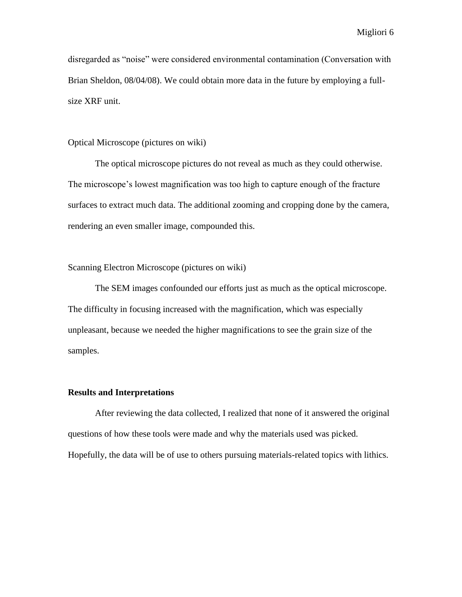disregarded as "noise" were considered environmental contamination (Conversation with Brian Sheldon, 08/04/08). We could obtain more data in the future by employing a fullsize XRF unit.

# Optical Microscope (pictures on wiki)

The optical microscope pictures do not reveal as much as they could otherwise. The microscope's lowest magnification was too high to capture enough of the fracture surfaces to extract much data. The additional zooming and cropping done by the camera, rendering an even smaller image, compounded this.

## Scanning Electron Microscope (pictures on wiki)

The SEM images confounded our efforts just as much as the optical microscope. The difficulty in focusing increased with the magnification, which was especially unpleasant, because we needed the higher magnifications to see the grain size of the samples.

## **Results and Interpretations**

After reviewing the data collected, I realized that none of it answered the original questions of how these tools were made and why the materials used was picked. Hopefully, the data will be of use to others pursuing materials-related topics with lithics.